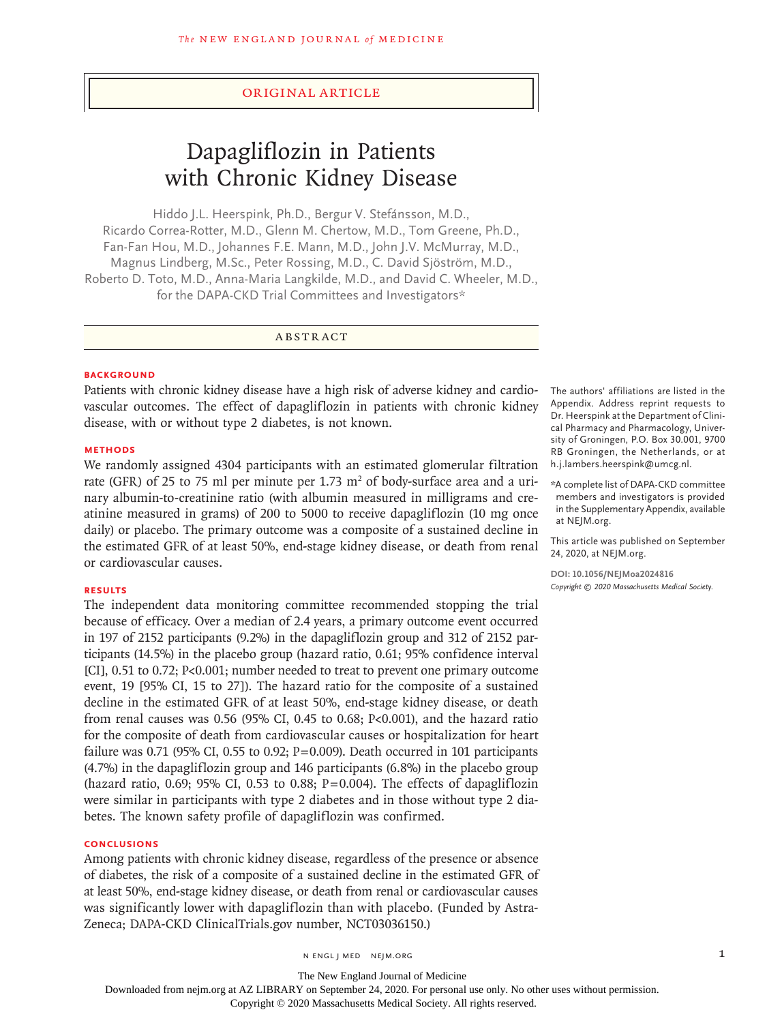# Original Article

# Dapagliflozin in Patients with Chronic Kidney Disease

Hiddo J.L. Heerspink, Ph.D., Bergur V. Stefánsson, M.D., Ricardo Correa-Rotter, M.D., Glenn M. Chertow, M.D., Tom Greene, Ph.D., Fan-Fan Hou, M.D., Johannes F.E. Mann, M.D., John J.V. McMurray, M.D., Magnus Lindberg, M.Sc., Peter Rossing, M.D., C. David Sjöström, M.D., Roberto D. Toto, M.D., Anna-Maria Langkilde, M.D., and David C. Wheeler, M.D., for the DAPA-CKD Trial Committees and Investigators\*

# ABSTRACT

### **BACKGROUND**

Patients with chronic kidney disease have a high risk of adverse kidney and cardiovascular outcomes. The effect of dapagliflozin in patients with chronic kidney disease, with or without type 2 diabetes, is not known.

### **METHODS**

We randomly assigned 4304 participants with an estimated glomerular filtration rate (GFR) of 25 to 75 ml per minute per 1.73  $m<sup>2</sup>$  of body-surface area and a urinary albumin-to-creatinine ratio (with albumin measured in milligrams and creatinine measured in grams) of 200 to 5000 to receive dapagliflozin (10 mg once daily) or placebo. The primary outcome was a composite of a sustained decline in the estimated GFR of at least 50%, end-stage kidney disease, or death from renal or cardiovascular causes.

### **RESULTS**

The independent data monitoring committee recommended stopping the trial because of efficacy. Over a median of 2.4 years, a primary outcome event occurred in 197 of 2152 participants (9.2%) in the dapagliflozin group and 312 of 2152 participants (14.5%) in the placebo group (hazard ratio, 0.61; 95% confidence interval [CI], 0.51 to 0.72; P<0.001; number needed to treat to prevent one primary outcome event, 19 [95% CI, 15 to 27]). The hazard ratio for the composite of a sustained decline in the estimated GFR of at least 50%, end-stage kidney disease, or death from renal causes was 0.56 (95% CI, 0.45 to 0.68;  $P<0.001$ ), and the hazard ratio for the composite of death from cardiovascular causes or hospitalization for heart failure was 0.71 (95% CI, 0.55 to 0.92;  $P=0.009$ ). Death occurred in 101 participants (4.7%) in the dapagliflozin group and 146 participants (6.8%) in the placebo group (hazard ratio,  $0.69$ ;  $95\%$  CI,  $0.53$  to  $0.88$ ;  $P=0.004$ ). The effects of dapagliflozin were similar in participants with type 2 diabetes and in those without type 2 diabetes. The known safety profile of dapagliflozin was confirmed.

### **CONCLUSIONS**

Among patients with chronic kidney disease, regardless of the presence or absence of diabetes, the risk of a composite of a sustained decline in the estimated GFR of at least 50%, end-stage kidney disease, or death from renal or cardiovascular causes was significantly lower with dapagliflozin than with placebo. (Funded by Astra-Zeneca; DAPA-CKD ClinicalTrials.gov number, [NCT03036150.](http://clinicaltrials.gov/show/NCT03036150))

The authors' affiliations are listed in the Appendix. Address reprint requests to Dr. Heerspink at the Department of Clinical Pharmacy and Pharmacology, University of Groningen, P.O. Box 30.001, 9700 RB Groningen, the Netherlands, or at h.j.lambers.heerspink@umcg.nl.

\*A complete list of DAPA-CKD committee members and investigators is provided in the Supplementary Appendix, available at NEJM.org.

This article was published on September 24, 2020, at NEJM.org.

**DOI: 10.1056/NEJMoa2024816** *Copyright © 2020 Massachusetts Medical Society.*

n engl j med nejm.org 1

The New England Journal of Medicine

Downloaded from nejm.org at AZ LIBRARY on September 24, 2020. For personal use only. No other uses without permission.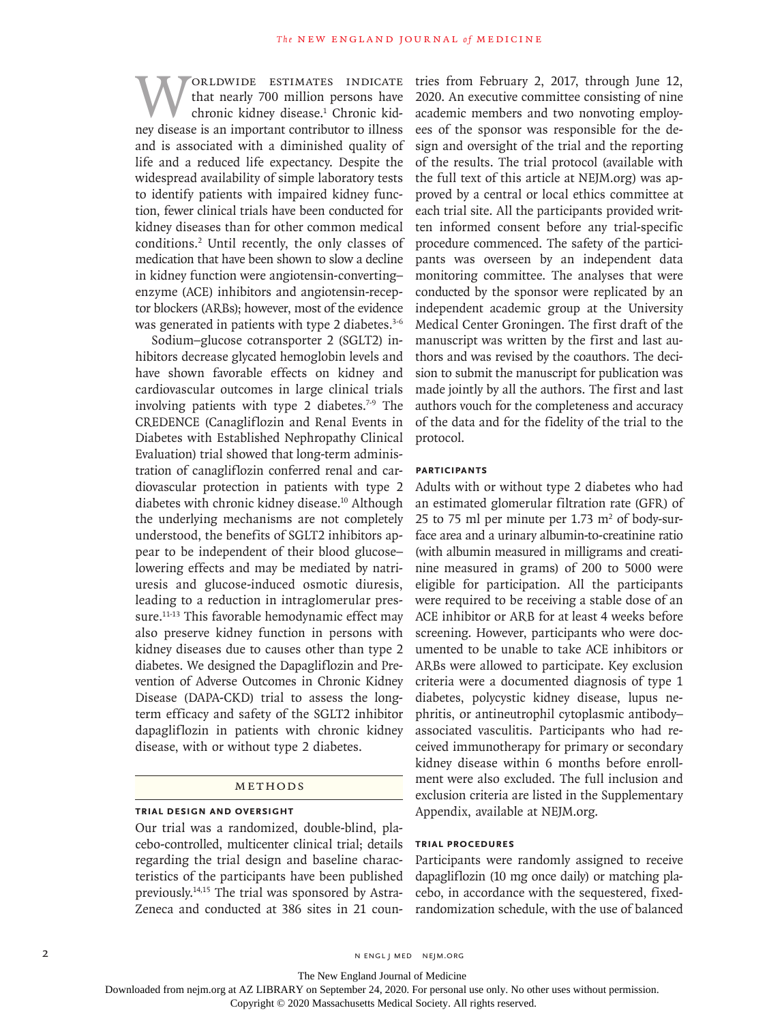WORLDWIDE ESTIMATES INDICATE<br>
that nearly 700 million persons have<br>
chronic kidney disease.<sup>1</sup> Chronic kid-<br>
ney disease is an important contributor to illness that nearly 700 million persons have chronic kidney disease.<sup>1</sup> Chronic kidand is associated with a diminished quality of life and a reduced life expectancy. Despite the widespread availability of simple laboratory tests to identify patients with impaired kidney function, fewer clinical trials have been conducted for kidney diseases than for other common medical conditions.2 Until recently, the only classes of medication that have been shown to slow a decline in kidney function were angiotensin-converting– enzyme (ACE) inhibitors and angiotensin-receptor blockers (ARBs); however, most of the evidence was generated in patients with type 2 diabetes.<sup>3-6</sup>

Sodium–glucose cotransporter 2 (SGLT2) inhibitors decrease glycated hemoglobin levels and have shown favorable effects on kidney and cardiovascular outcomes in large clinical trials involving patients with type 2 diabetes.<sup> $7-9$ </sup> The CREDENCE (Canagliflozin and Renal Events in Diabetes with Established Nephropathy Clinical Evaluation) trial showed that long-term administration of canagliflozin conferred renal and cardiovascular protection in patients with type 2 diabetes with chronic kidney disease.<sup>10</sup> Although the underlying mechanisms are not completely understood, the benefits of SGLT2 inhibitors appear to be independent of their blood glucose– lowering effects and may be mediated by natriuresis and glucose-induced osmotic diuresis, leading to a reduction in intraglomerular pressure.<sup>11-13</sup> This favorable hemodynamic effect may also preserve kidney function in persons with kidney diseases due to causes other than type 2 diabetes. We designed the Dapagliflozin and Prevention of Adverse Outcomes in Chronic Kidney Disease (DAPA-CKD) trial to assess the longterm efficacy and safety of the SGLT2 inhibitor dapagliflozin in patients with chronic kidney disease, with or without type 2 diabetes.

# METHODS

### **Trial Design and Oversight**

Our trial was a randomized, double-blind, placebo-controlled, multicenter clinical trial; details regarding the trial design and baseline characteristics of the participants have been published previously.14,15 The trial was sponsored by Astra-Zeneca and conducted at 386 sites in 21 countries from February 2, 2017, through June 12, 2020. An executive committee consisting of nine academic members and two nonvoting employees of the sponsor was responsible for the design and oversight of the trial and the reporting of the results. The trial protocol (available with the full text of this article at NEJM.org) was approved by a central or local ethics committee at each trial site. All the participants provided written informed consent before any trial-specific procedure commenced. The safety of the participants was overseen by an independent data monitoring committee. The analyses that were conducted by the sponsor were replicated by an independent academic group at the University Medical Center Groningen. The first draft of the manuscript was written by the first and last authors and was revised by the coauthors. The decision to submit the manuscript for publication was made jointly by all the authors. The first and last authors vouch for the completeness and accuracy of the data and for the fidelity of the trial to the protocol.

### **Participants**

Adults with or without type 2 diabetes who had an estimated glomerular filtration rate (GFR) of 25 to 75 ml per minute per  $1.73 \text{ m}^2$  of body-surface area and a urinary albumin-to-creatinine ratio (with albumin measured in milligrams and creatinine measured in grams) of 200 to 5000 were eligible for participation. All the participants were required to be receiving a stable dose of an ACE inhibitor or ARB for at least 4 weeks before screening. However, participants who were documented to be unable to take ACE inhibitors or ARBs were allowed to participate. Key exclusion criteria were a documented diagnosis of type 1 diabetes, polycystic kidney disease, lupus nephritis, or antineutrophil cytoplasmic antibody– associated vasculitis. Participants who had received immunotherapy for primary or secondary kidney disease within 6 months before enrollment were also excluded. The full inclusion and exclusion criteria are listed in the Supplementary Appendix, available at NEJM.org.

### **Trial Procedures**

Participants were randomly assigned to receive dapagliflozin (10 mg once daily) or matching placebo, in accordance with the sequestered, fixedrandomization schedule, with the use of balanced

2 N ENGL J MED NEJM.ORG

The New England Journal of Medicine

Downloaded from nejm.org at AZ LIBRARY on September 24, 2020. For personal use only. No other uses without permission.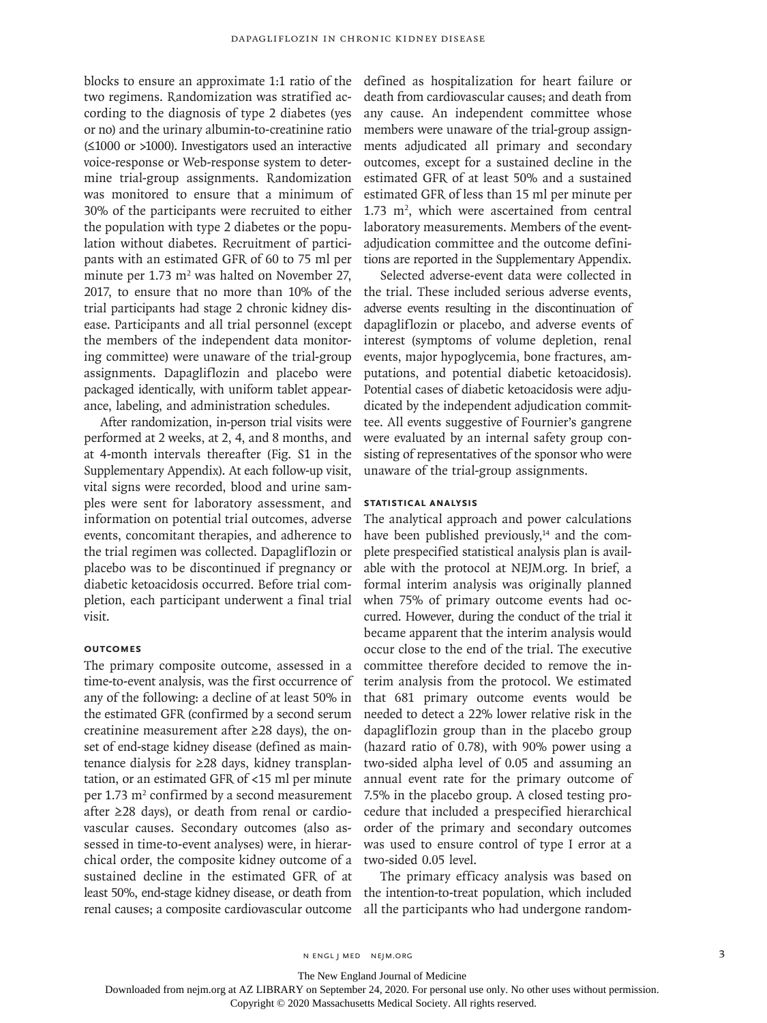blocks to ensure an approximate 1:1 ratio of the two regimens. Randomization was stratified according to the diagnosis of type 2 diabetes (yes or no) and the urinary albumin-to-creatinine ratio (≤1000 or >1000). Investigators used an interactive voice-response or Web-response system to determine trial-group assignments. Randomization was monitored to ensure that a minimum of 30% of the participants were recruited to either the population with type 2 diabetes or the population without diabetes. Recruitment of participants with an estimated GFR of 60 to 75 ml per minute per  $1.73 \text{ m}^2$  was halted on November 27, 2017, to ensure that no more than 10% of the trial participants had stage 2 chronic kidney disease. Participants and all trial personnel (except the members of the independent data monitoring committee) were unaware of the trial-group assignments. Dapagliflozin and placebo were packaged identically, with uniform tablet appearance, labeling, and administration schedules.

After randomization, in-person trial visits were performed at 2 weeks, at 2, 4, and 8 months, and at 4-month intervals thereafter (Fig. S1 in the Supplementary Appendix). At each follow-up visit, vital signs were recorded, blood and urine samples were sent for laboratory assessment, and information on potential trial outcomes, adverse events, concomitant therapies, and adherence to the trial regimen was collected. Dapagliflozin or placebo was to be discontinued if pregnancy or diabetic ketoacidosis occurred. Before trial completion, each participant underwent a final trial visit.

# **Outcomes**

The primary composite outcome, assessed in a time-to-event analysis, was the first occurrence of any of the following: a decline of at least 50% in the estimated GFR (confirmed by a second serum creatinine measurement after ≥28 days), the onset of end-stage kidney disease (defined as maintenance dialysis for ≥28 days, kidney transplantation, or an estimated GFR of <15 ml per minute per  $1.73 \text{ m}^2$  confirmed by a second measurement after ≥28 days), or death from renal or cardiovascular causes. Secondary outcomes (also assessed in time-to-event analyses) were, in hierarchical order, the composite kidney outcome of a sustained decline in the estimated GFR of at least 50%, end-stage kidney disease, or death from renal causes; a composite cardiovascular outcome

defined as hospitalization for heart failure or death from cardiovascular causes; and death from any cause. An independent committee whose members were unaware of the trial-group assignments adjudicated all primary and secondary outcomes, except for a sustained decline in the estimated GFR of at least 50% and a sustained estimated GFR of less than 15 ml per minute per 1.73 m<sup>2</sup>, which were ascertained from central laboratory measurements. Members of the eventadjudication committee and the outcome definitions are reported in the Supplementary Appendix.

Selected adverse-event data were collected in the trial. These included serious adverse events, adverse events resulting in the discontinuation of dapagliflozin or placebo, and adverse events of interest (symptoms of volume depletion, renal events, major hypoglycemia, bone fractures, amputations, and potential diabetic ketoacidosis). Potential cases of diabetic ketoacidosis were adjudicated by the independent adjudication committee. All events suggestive of Fournier's gangrene were evaluated by an internal safety group consisting of representatives of the sponsor who were unaware of the trial-group assignments.

# **Statistical Analysis**

The analytical approach and power calculations have been published previously, $14$  and the complete prespecified statistical analysis plan is available with the protocol at NEJM.org. In brief, a formal interim analysis was originally planned when 75% of primary outcome events had occurred. However, during the conduct of the trial it became apparent that the interim analysis would occur close to the end of the trial. The executive committee therefore decided to remove the interim analysis from the protocol. We estimated that 681 primary outcome events would be needed to detect a 22% lower relative risk in the dapagliflozin group than in the placebo group (hazard ratio of 0.78), with 90% power using a two-sided alpha level of 0.05 and assuming an annual event rate for the primary outcome of 7.5% in the placebo group. A closed testing procedure that included a prespecified hierarchical order of the primary and secondary outcomes was used to ensure control of type I error at a two-sided 0.05 level.

The primary efficacy analysis was based on the intention-to-treat population, which included all the participants who had undergone random-

The New England Journal of Medicine

Downloaded from nejm.org at AZ LIBRARY on September 24, 2020. For personal use only. No other uses without permission.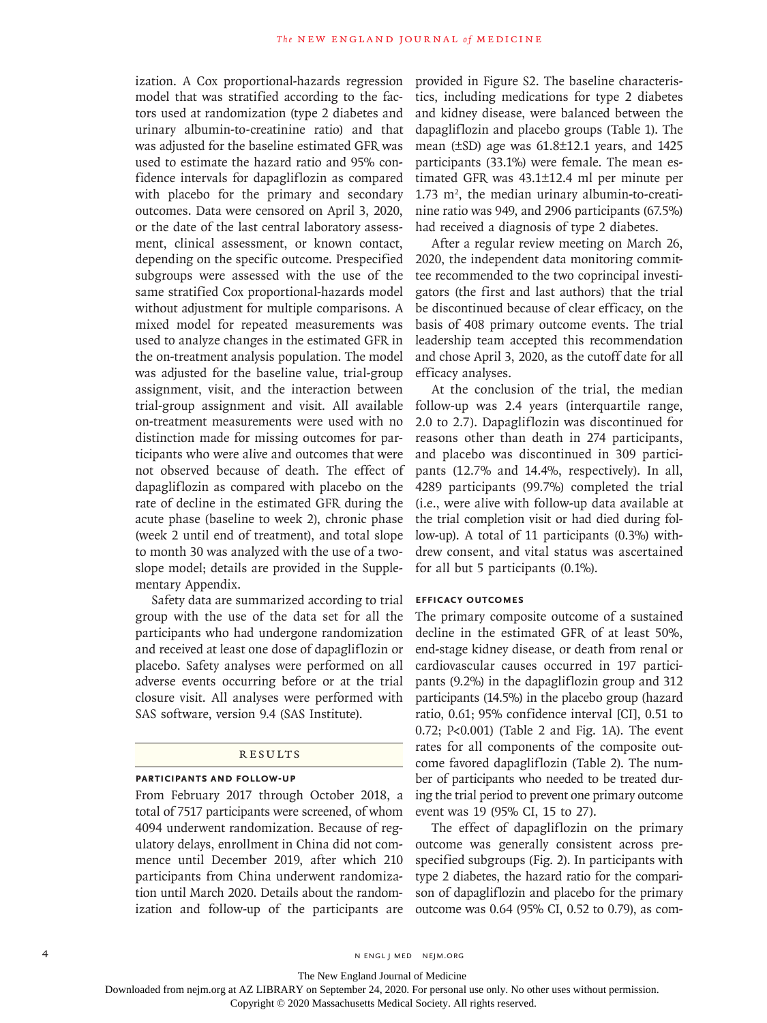ization. A Cox proportional-hazards regression model that was stratified according to the factors used at randomization (type 2 diabetes and urinary albumin-to-creatinine ratio) and that was adjusted for the baseline estimated GFR was used to estimate the hazard ratio and 95% confidence intervals for dapagliflozin as compared with placebo for the primary and secondary outcomes. Data were censored on April 3, 2020, or the date of the last central laboratory assessment, clinical assessment, or known contact, depending on the specific outcome. Prespecified subgroups were assessed with the use of the same stratified Cox proportional-hazards model without adjustment for multiple comparisons. A mixed model for repeated measurements was used to analyze changes in the estimated GFR in the on-treatment analysis population. The model was adjusted for the baseline value, trial-group assignment, visit, and the interaction between trial-group assignment and visit. All available on-treatment measurements were used with no distinction made for missing outcomes for participants who were alive and outcomes that were not observed because of death. The effect of dapagliflozin as compared with placebo on the rate of decline in the estimated GFR during the acute phase (baseline to week 2), chronic phase (week 2 until end of treatment), and total slope to month 30 was analyzed with the use of a twoslope model; details are provided in the Supplementary Appendix.

Safety data are summarized according to trial group with the use of the data set for all the participants who had undergone randomization and received at least one dose of dapagliflozin or placebo. Safety analyses were performed on all adverse events occurring before or at the trial closure visit. All analyses were performed with SAS software, version 9.4 (SAS Institute).

# **RESULTS**

### **Participants and Follow-up**

From February 2017 through October 2018, a total of 7517 participants were screened, of whom 4094 underwent randomization. Because of regulatory delays, enrollment in China did not commence until December 2019, after which 210 participants from China underwent randomization until March 2020. Details about the randomization and follow-up of the participants are provided in Figure S2. The baseline characteristics, including medications for type 2 diabetes and kidney disease, were balanced between the dapagliflozin and placebo groups (Table 1). The mean (±SD) age was 61.8±12.1 years, and 1425 participants (33.1%) were female. The mean estimated GFR was 43.1±12.4 ml per minute per  $1.73 \text{ m}^2$ , the median urinary albumin-to-creatinine ratio was 949, and 2906 participants (67.5%) had received a diagnosis of type 2 diabetes.

After a regular review meeting on March 26, 2020, the independent data monitoring committee recommended to the two coprincipal investigators (the first and last authors) that the trial be discontinued because of clear efficacy, on the basis of 408 primary outcome events. The trial leadership team accepted this recommendation and chose April 3, 2020, as the cutoff date for all efficacy analyses.

At the conclusion of the trial, the median follow-up was 2.4 years (interquartile range, 2.0 to 2.7). Dapagliflozin was discontinued for reasons other than death in 274 participants, and placebo was discontinued in 309 participants (12.7% and 14.4%, respectively). In all, 4289 participants (99.7%) completed the trial (i.e., were alive with follow-up data available at the trial completion visit or had died during follow-up). A total of 11 participants (0.3%) withdrew consent, and vital status was ascertained for all but 5 participants (0.1%).

### **Efficacy Outcomes**

The primary composite outcome of a sustained decline in the estimated GFR of at least 50%, end-stage kidney disease, or death from renal or cardiovascular causes occurred in 197 participants (9.2%) in the dapagliflozin group and 312 participants (14.5%) in the placebo group (hazard ratio, 0.61; 95% confidence interval [CI], 0.51 to 0.72; P<0.001) (Table 2 and Fig. 1A). The event rates for all components of the composite outcome favored dapagliflozin (Table 2). The number of participants who needed to be treated during the trial period to prevent one primary outcome event was 19 (95% CI, 15 to 27).

The effect of dapagliflozin on the primary outcome was generally consistent across prespecified subgroups (Fig. 2). In participants with type 2 diabetes, the hazard ratio for the comparison of dapagliflozin and placebo for the primary outcome was 0.64 (95% CI, 0.52 to 0.79), as com-

4 n engl j med nejm.org nejm.org neighborhood in the negative media in the negative media in the negative media in the negative media in the negative media in the negative media in the negative media in the negative media

The New England Journal of Medicine

Downloaded from nejm.org at AZ LIBRARY on September 24, 2020. For personal use only. No other uses without permission.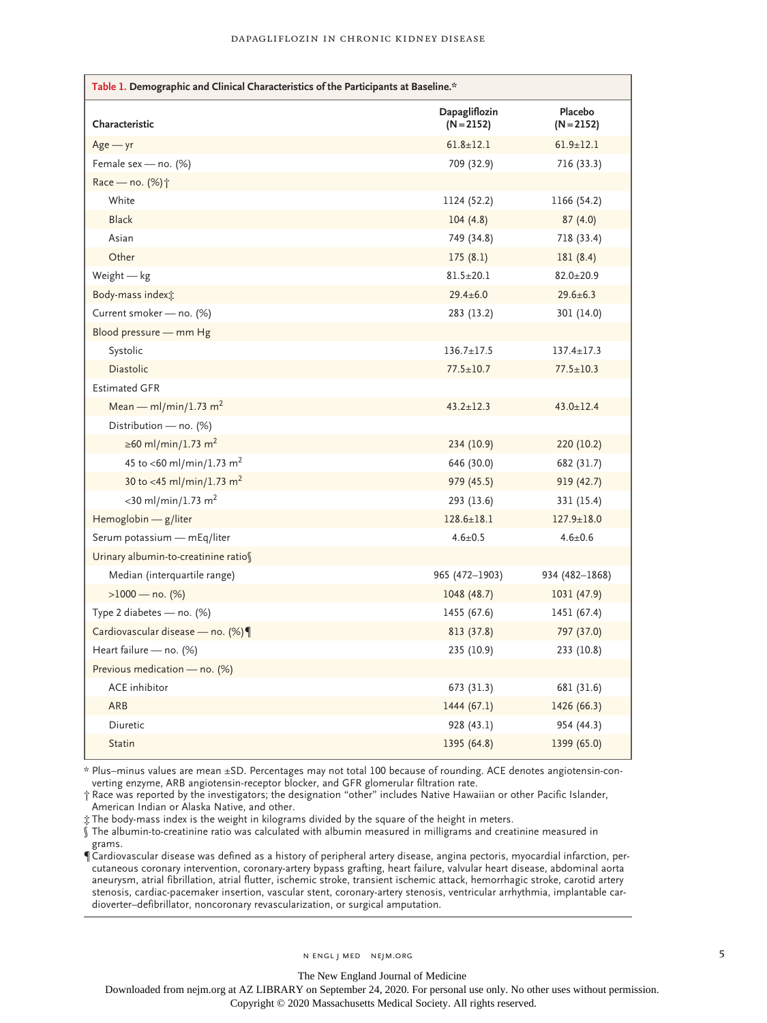| Table 1. Demographic and Clinical Characteristics of the Participants at Baseline.* |                               |                         |  |  |
|-------------------------------------------------------------------------------------|-------------------------------|-------------------------|--|--|
| Characteristic                                                                      | Dapagliflozin<br>$(N = 2152)$ | Placebo<br>$(N = 2152)$ |  |  |
| $Age - yr$                                                                          | $61.8 \pm 12.1$               | $61.9 \pm 12.1$         |  |  |
| Female sex — no. $(\%)$                                                             | 709 (32.9)                    | 716 (33.3)              |  |  |
| Race — no. (%) †                                                                    |                               |                         |  |  |
| White                                                                               | 1124 (52.2)                   | 1166 (54.2)             |  |  |
| <b>Black</b>                                                                        | 104(4.8)                      | 87(4.0)                 |  |  |
| Asian                                                                               | 749 (34.8)                    | 718 (33.4)              |  |  |
| Other                                                                               | 175(8.1)                      | 181 (8.4)               |  |  |
| Weight $-$ kg                                                                       | $81.5 \pm 20.1$               | $82.0 \pm 20.9$         |  |  |
| Body-mass indext:                                                                   | $29.4 \pm 6.0$                | $29.6 \pm 6.3$          |  |  |
| Current smoker - no. (%)                                                            | 283 (13.2)                    | 301 (14.0)              |  |  |
| Blood pressure - mm Hg                                                              |                               |                         |  |  |
| Systolic                                                                            | $136.7 \pm 17.5$              | $137.4 \pm 17.3$        |  |  |
| <b>Diastolic</b>                                                                    | $77.5 \pm 10.7$               | $77.5 \pm 10.3$         |  |  |
| <b>Estimated GFR</b>                                                                |                               |                         |  |  |
| Mean — ml/min/1.73 m <sup>2</sup>                                                   | $43.2 \pm 12.3$               | $43.0 \pm 12.4$         |  |  |
| Distribution - no. (%)                                                              |                               |                         |  |  |
| ≥60 ml/min/1.73 m <sup>2</sup>                                                      | 234(10.9)                     | 220 (10.2)              |  |  |
| 45 to <60 ml/min/1.73 m <sup>2</sup>                                                | 646 (30.0)                    | 682 (31.7)              |  |  |
| 30 to <45 ml/min/1.73 m <sup>2</sup>                                                | 979 (45.5)                    | 919 (42.7)              |  |  |
| <30 ml/min/1.73 m <sup>2</sup>                                                      | 293 (13.6)                    | 331 (15.4)              |  |  |
| Hemoglobin — g/liter                                                                | $128.6 \pm 18.1$              | $127.9 \pm 18.0$        |  |  |
| Serum potassium - mEq/liter                                                         | $4.6 \pm 0.5$                 | $4.6 \pm 0.6$           |  |  |
| Urinary albumin-to-creatinine ratios                                                |                               |                         |  |  |
| Median (interquartile range)                                                        | 965 (472-1903)                | 934 (482-1868)          |  |  |
| $>1000 - no.$ (%)                                                                   | 1048 (48.7)                   | 1031 (47.9)             |  |  |
| Type 2 diabetes - no. (%)                                                           | 1455 (67.6)                   | 1451 (67.4)             |  |  |
| Cardiovascular disease — no. $(\%) \P$                                              | 813 (37.8)                    | 797 (37.0)              |  |  |
| Heart failure — no. $(\%)$                                                          | 235 (10.9)                    | 233 (10.8)              |  |  |
| Previous medication - no. (%)                                                       |                               |                         |  |  |
| <b>ACE</b> inhibitor                                                                | 673 (31.3)                    | 681 (31.6)              |  |  |
| ARB                                                                                 | 1444(67.1)                    | 1426 (66.3)             |  |  |
| Diuretic                                                                            | 928 (43.1)                    | 954 (44.3)              |  |  |
| Statin                                                                              | 1395 (64.8)                   | 1399 (65.0)             |  |  |

\* Plus–minus values are mean ±SD. Percentages may not total 100 because of rounding. ACE denotes angiotensin-converting enzyme, ARB angiotensin-receptor blocker, and GFR glomerular filtration rate.

† Race was reported by the investigators; the designation "other" includes Native Hawaiian or other Pacific Islander, American Indian or Alaska Native, and other.

‡ The body-mass index is the weight in kilograms divided by the square of the height in meters.

The albumin-to-creatinine ratio was calculated with albumin measured in milligrams and creatinine measured in grams.

¶ Cardiovascular disease was defined as a history of peripheral artery disease, angina pectoris, myocardial infarction, percutaneous coronary intervention, coronary-artery bypass grafting, heart failure, valvular heart disease, abdominal aorta aneurysm, atrial fibrillation, atrial flutter, ischemic stroke, transient ischemic attack, hemorrhagic stroke, carotid artery stenosis, cardiac-pacemaker insertion, vascular stent, coronary-artery stenosis, ventricular arrhythmia, implantable cardioverter–defibrillator, noncoronary revascularization, or surgical amputation.

The New England Journal of Medicine

Downloaded from nejm.org at AZ LIBRARY on September 24, 2020. For personal use only. No other uses without permission.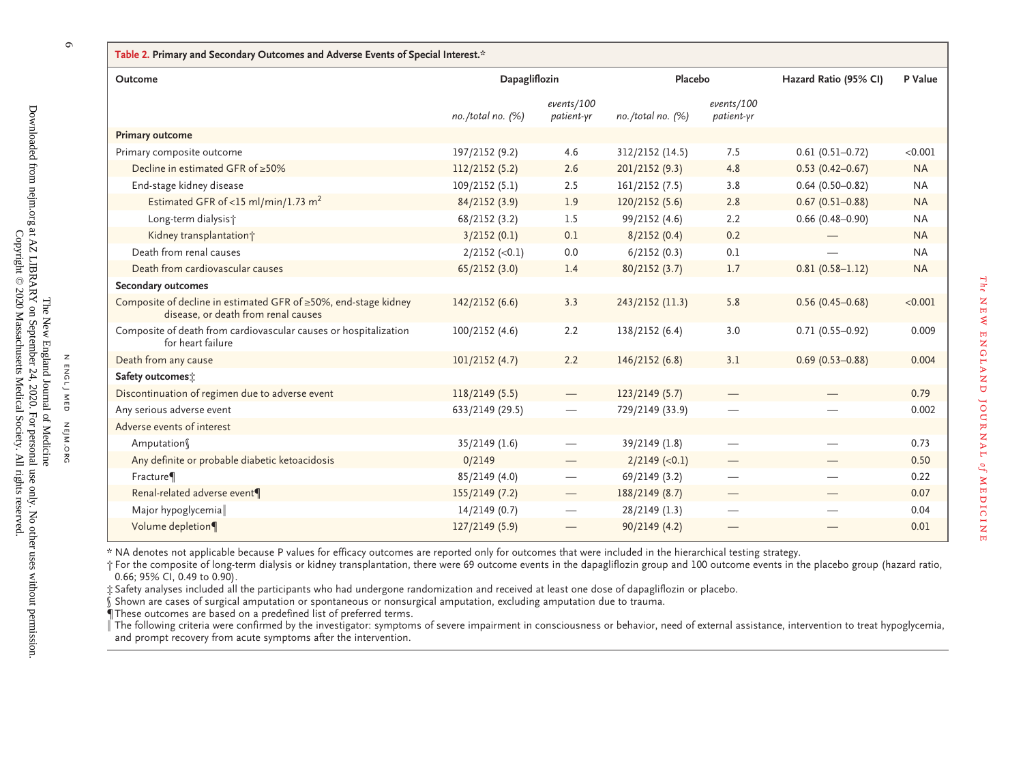| Outcome                                                                                                | Dapagliflozin      |                          | Placebo            |                          | Hazard Ratio (95% CI) | P Value   |
|--------------------------------------------------------------------------------------------------------|--------------------|--------------------------|--------------------|--------------------------|-----------------------|-----------|
|                                                                                                        | no. /total no. (%) | events/100<br>patient-yr | no. /total no. (%) | events/100<br>patient-yr |                       |           |
| <b>Primary outcome</b>                                                                                 |                    |                          |                    |                          |                       |           |
| Primary composite outcome                                                                              | 197/2152 (9.2)     | 4.6                      | 312/2152 (14.5)    | 7.5                      | $0.61(0.51 - 0.72)$   | < 0.001   |
| Decline in estimated GFR of ≥50%                                                                       | 112/2152 (5.2)     | 2.6                      | 201/2152 (9.3)     | 4.8                      | $0.53(0.42 - 0.67)$   | <b>NA</b> |
| End-stage kidney disease                                                                               | 109/2152 (5.1)     | 2.5                      | 161/2152 (7.5)     | 3.8                      | $0.64(0.50 - 0.82)$   | <b>NA</b> |
| Estimated GFR of <15 ml/min/1.73 m <sup>2</sup>                                                        | 84/2152 (3.9)      | 1.9                      | 120/2152 (5.6)     | 2.8                      | $0.67(0.51 - 0.88)$   | <b>NA</b> |
| Long-term dialysis;                                                                                    | 68/2152 (3.2)      | 1.5                      | 99/2152 (4.6)      | 2.2                      | $0.66$ (0.48-0.90)    | <b>NA</b> |
| Kidney transplantation <sup>+</sup>                                                                    | 3/2152(0.1)        | 0.1                      | 8/2152(0.4)        | 0.2                      |                       | <b>NA</b> |
| Death from renal causes                                                                                | $2/2152$ (<0.1)    | 0.0                      | 6/2152(0.3)        | 0.1                      |                       | <b>NA</b> |
| Death from cardiovascular causes                                                                       | 65/2152(3.0)       | 1.4                      | 80/2152(3.7)       | 1.7                      | $0.81(0.58 - 1.12)$   | <b>NA</b> |
| <b>Secondary outcomes</b>                                                                              |                    |                          |                    |                          |                       |           |
| Composite of decline in estimated GFR of ≥50%, end-stage kidney<br>disease, or death from renal causes | 142/2152 (6.6)     | 3.3                      | 243/2152 (11.3)    | 5.8                      | $0.56(0.45 - 0.68)$   | < 0.001   |
| Composite of death from cardiovascular causes or hospitalization<br>for heart failure                  | 100/2152 (4.6)     | 2.2                      | 138/2152 (6.4)     | 3.0                      | $0.71(0.55 - 0.92)$   | 0.009     |
| Death from any cause                                                                                   | 101/2152 (4.7)     | 2.2                      | 146/2152 (6.8)     | 3.1                      | $0.69(0.53 - 0.88)$   | 0.004     |
| Safety outcomes:                                                                                       |                    |                          |                    |                          |                       |           |
| Discontinuation of regimen due to adverse event                                                        | 118/2149 (5.5)     |                          | 123/2149 (5.7)     |                          |                       | 0.79      |
| Any serious adverse event                                                                              | 633/2149 (29.5)    |                          | 729/2149 (33.9)    |                          |                       | 0.002     |
| Adverse events of interest                                                                             |                    |                          |                    |                          |                       |           |
| Amputation                                                                                             | $35/2149$ (1.6)    |                          | 39/2149 (1.8)      |                          |                       | 0.73      |
| Any definite or probable diabetic ketoacidosis                                                         | 0/2149             |                          | $2/2149$ (<0.1)    |                          |                       | 0.50      |
| Fracture                                                                                               | 85/2149 (4.0)      |                          | 69/2149 (3.2)      |                          |                       | 0.22      |
| Renal-related adverse event¶                                                                           | 155/2149 (7.2)     |                          | 188/2149 (8.7)     |                          |                       | 0.07      |
| Major hypoglycemia                                                                                     | 14/2149(0.7)       |                          | 28/2149 (1.3)      |                          |                       | 0.04      |
| Volume depletion¶                                                                                      | 127/2149 (5.9)     |                          | 90/2149 (4.2)      |                          |                       | 0.01      |

*The*

new england journal

*o f*

medicine

\* NA denotes not applicable because P values for efficacy outcomes are reported only for outcomes that were included in the hierarchical testing strategy.

† For the composite of long-term dialysis or kidney transplantation, there were 69 outcome events in the dapagliflozin group and 100 outcome events in the placebo group (hazard ratio, 0.66; 95% CI, 0.49 to 0.90).

‡ Safety analyses included all the participants who had undergone randomization and received at least one dose of dapagliflozin or placebo.

Shown are cases of surgical amputation or spontaneous or nonsurgical amputation, excluding amputation due to trauma.

¶These outcomes are based on a predefined list of preferred terms.

The following criteria were confirmed by the investigator: symptoms of severe impairment in consciousness or behavior, need of external assistance, intervention to treat hypoglycemia, and prompt recovery from acute symptoms after the intervention.

n engl j med

ENGL) MED

nejm.org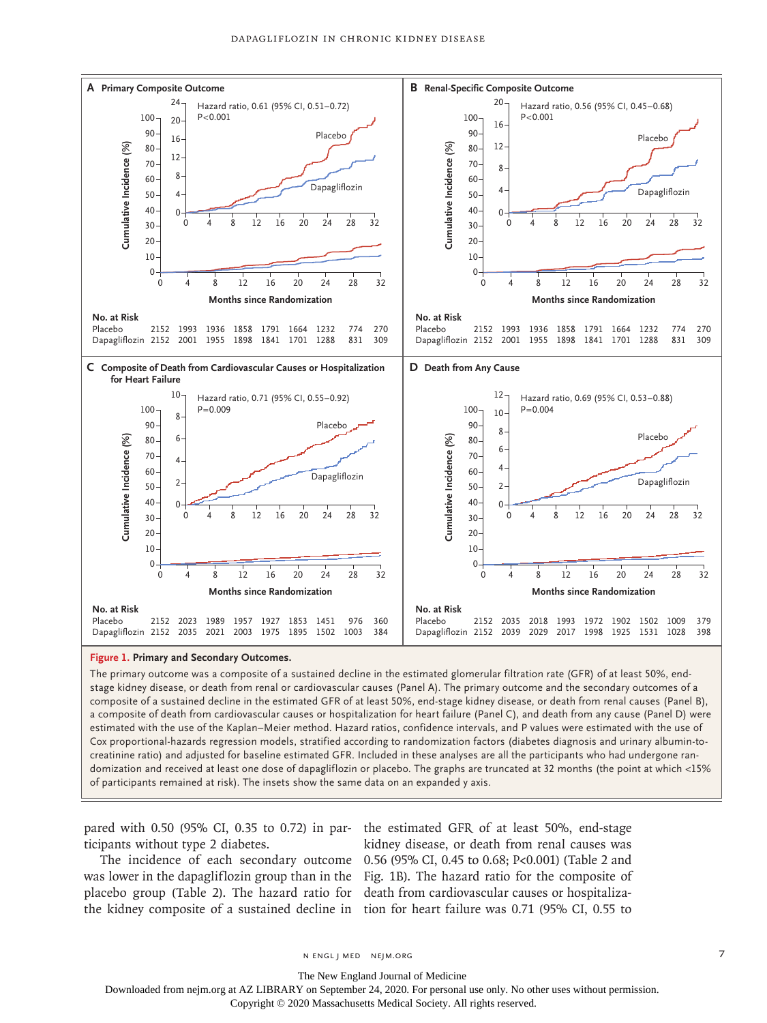

### **Figure 1. Primary and Secondary Outcomes.**

The primary outcome was a composite of a sustained decline in the estimated glomerular filtration rate (GFR) of at least 50%, endstage kidney disease, or death from renal or cardiovascular causes (Panel A). The primary outcome and the secondary outcomes of a composite of a sustained decline in the estimated GFR of at least 50%, end-stage kidney disease, or death from renal causes (Panel B), a composite of death from cardiovascular causes or hospitalization for heart failure (Panel C), and death from any cause (Panel D) were estimated with the use of the Kaplan–Meier method. Hazard ratios, confidence intervals, and P values were estimated with the use of Cox proportional-hazards regression models, stratified according to randomization factors (diabetes diagnosis and urinary albumin-tocreatinine ratio) and adjusted for baseline estimated GFR. Included in these analyses are all the participants who had undergone randomization and received at least one dose of dapagliflozin or placebo. The graphs are truncated at 32 months (the point at which <15%

ticipants without type 2 diabetes.

was lower in the dapagliflozin group than in the Fig. 1B). The hazard ratio for the composite of placebo group (Table 2). The hazard ratio for death from cardiovascular causes or hospitalizathe kidney composite of a sustained decline in tion for heart failure was 0.71 (95% CI, 0.55 to

pared with 0.50 (95% CI, 0.35 to 0.72) in par-the estimated GFR of at least 50%, end-stage The incidence of each secondary outcome 0.56 (95% CI, 0.45 to 0.68; P<0.001) (Table 2 and kidney disease, or death from renal causes was

The New England Journal of Medicine

Downloaded from nejm.org at AZ LIBRARY on September 24, 2020. For personal use only. No other uses without permission.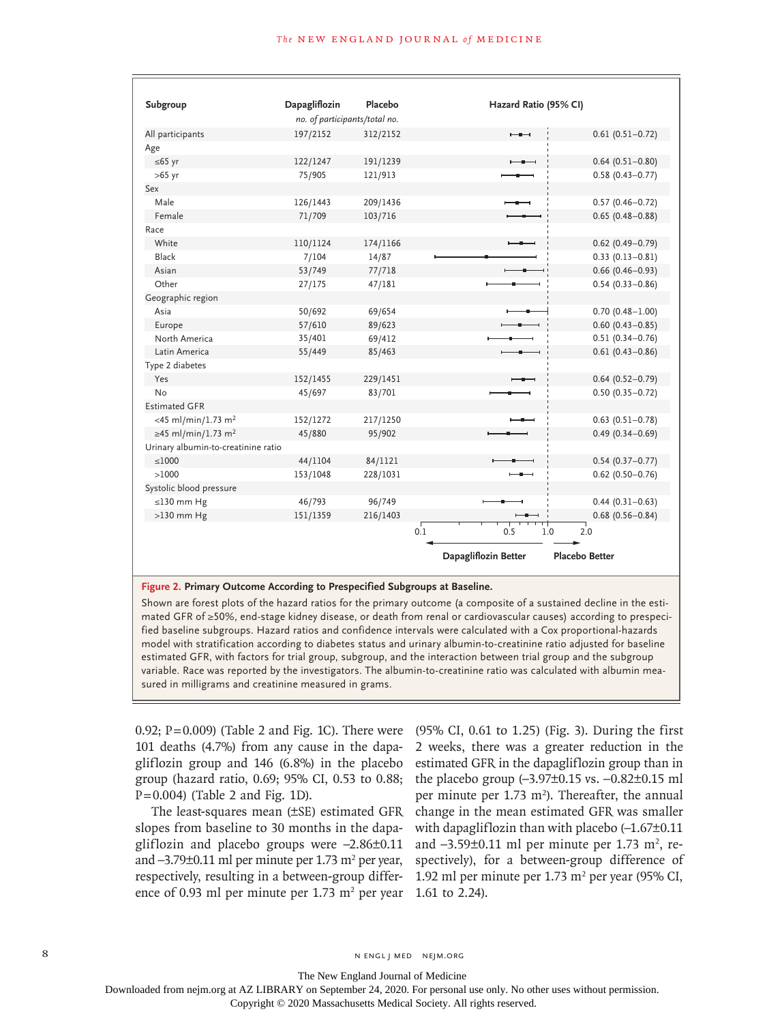| Subgroup                            | Dapagliflozin                 | Placebo  | Hazard Ratio (95% CI) |                        |  |  |
|-------------------------------------|-------------------------------|----------|-----------------------|------------------------|--|--|
|                                     | no. of participants/total no. |          |                       |                        |  |  |
| All participants                    | 197/2152                      | 312/2152 | $- -$                 | $0.61(0.51 - 0.72)$    |  |  |
| Age                                 |                               |          |                       |                        |  |  |
| $≤65$ yr                            | 122/1247                      | 191/1239 | $-$                   | $0.64$ (0.51-0.80)     |  |  |
| $>65$ yr                            | 75/905                        | 121/913  |                       | $0.58(0.43 - 0.77)$    |  |  |
| Sex                                 |                               |          |                       |                        |  |  |
| Male                                | 126/1443                      | 209/1436 |                       | $0.57(0.46 - 0.72)$    |  |  |
| Female                              | 71/709                        | 103/716  |                       | $0.65(0.48 - 0.88)$    |  |  |
| Race                                |                               |          |                       |                        |  |  |
| White                               | 110/1124                      | 174/1166 |                       | $0.62$ (0.49-0.79)     |  |  |
| Black                               | 7/104                         | 14/87    |                       | $0.33(0.13 - 0.81)$    |  |  |
| Asian                               | 53/749                        | 77/718   |                       | $0.66$ (0.46-0.93)     |  |  |
| Other                               | 27/175                        | 47/181   |                       | $0.54(0.33 - 0.86)$    |  |  |
| Geographic region                   |                               |          |                       |                        |  |  |
| Asia                                | 50/692                        | 69/654   |                       | $0.70(0.48 - 1.00)$    |  |  |
| Europe                              | 57/610                        | 89/623   |                       | $0.60(0.43 - 0.85)$    |  |  |
| North America                       | 35/401                        | 69/412   |                       | $0.51(0.34 - 0.76)$    |  |  |
| Latin America                       | 55/449                        | 85/463   |                       | $0.61(0.43 - 0.86)$    |  |  |
| Type 2 diabetes                     |                               |          |                       |                        |  |  |
| Yes                                 | 152/1455                      | 229/1451 |                       | $0.64(0.52 - 0.79)$    |  |  |
| <b>No</b>                           | 45/697                        | 83/701   |                       | $0.50(0.35 - 0.72)$    |  |  |
| <b>Estimated GFR</b>                |                               |          |                       |                        |  |  |
| <45 ml/min/1.73 m <sup>2</sup>      | 152/1272                      | 217/1250 |                       | $0.63$ $(0.51 - 0.78)$ |  |  |
| ≥45 ml/min/1.73 m <sup>2</sup>      | 45/880                        | 95/902   |                       | $0.49(0.34 - 0.69)$    |  |  |
| Urinary albumin-to-creatinine ratio |                               |          |                       |                        |  |  |
| $\leq 1000$                         | 44/1104                       | 84/1121  |                       | $0.54(0.37 - 0.77)$    |  |  |
| >1000                               | 153/1048                      | 228/1031 |                       | $0.62$ (0.50-0.76)     |  |  |
| Systolic blood pressure             |                               |          |                       |                        |  |  |
| $\leq$ 130 mm Hg                    | 46/793                        | 96/749   |                       | $0.44(0.31-0.63)$      |  |  |
| $>130$ mm Hg                        | 151/1359                      | 216/1403 |                       | $0.68$ (0.56-0.84)     |  |  |
|                                     |                               |          | 0.1<br>0.5<br>1.0     | 2.0                    |  |  |
|                                     |                               |          | Dapagliflozin Better  | <b>Placebo Better</b>  |  |  |

### **Figure 2. Primary Outcome According to Prespecified Subgroups at Baseline.**

Shown are forest plots of the hazard ratios for the primary outcome (a composite of a sustained decline in the estimated GFR of ≥50%, end-stage kidney disease, or death from renal or cardiovascular causes) according to prespecified baseline subgroups. Hazard ratios and confidence intervals were calculated with a Cox proportional-hazards model with stratification according to diabetes status and urinary albumin-to-creatinine ratio adjusted for baseline estimated GFR, with factors for trial group, subgroup, and the interaction between trial group and the subgroup variable. Race was reported by the investigators. The albumin-to-creatinine ratio was calculated with albumin measured in milligrams and creatinine measured in grams.

0.92;  $P=0.009$ ) (Table 2 and Fig. 1C). There were 101 deaths (4.7%) from any cause in the dapagliflozin group and 146 (6.8%) in the placebo group (hazard ratio, 0.69; 95% CI, 0.53 to 0.88;  $P=0.004$ ) (Table 2 and Fig. 1D).

The least-squares mean (±SE) estimated GFR slopes from baseline to 30 months in the dapagliflozin and placebo groups were –2.86±0.11 and  $-3.79\pm0.11$  ml per minute per 1.73 m<sup>2</sup> per year, respectively, resulting in a between-group difference of 0.93 ml per minute per 1.73  $m<sup>2</sup>$  per year 1.61 to 2.24).

(95% CI, 0.61 to 1.25) (Fig. 3). During the first 2 weeks, there was a greater reduction in the estimated GFR in the dapagliflozin group than in the placebo group (–3.97±0.15 vs. –0.82±0.15 ml per minute per  $1.73 \text{ m}^2$ ). Thereafter, the annual change in the mean estimated GFR was smaller with dapagliflozin than with placebo (-1.67±0.11) and  $-3.59\pm0.11$  ml per minute per 1.73 m<sup>2</sup>, respectively), for a between-group difference of 1.92 ml per minute per  $1.73 \text{ m}^2$  per year (95% CI,

8 N ENGL J MED NEJM.ORG

The New England Journal of Medicine

Downloaded from nejm.org at AZ LIBRARY on September 24, 2020. For personal use only. No other uses without permission.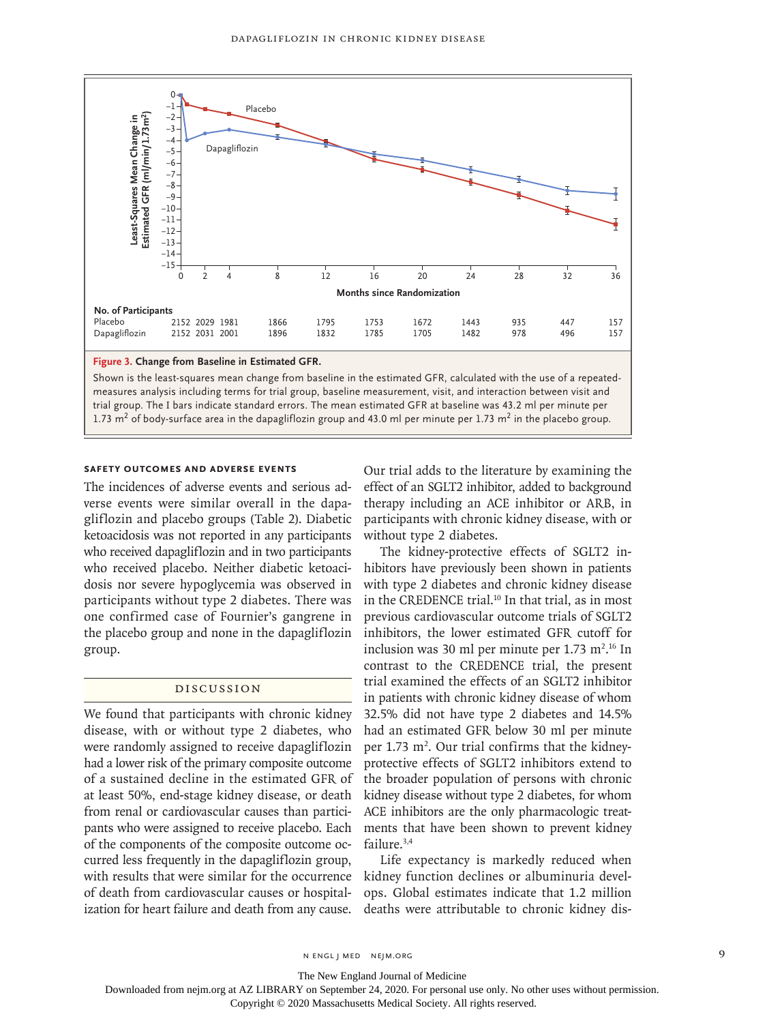

measures analysis including terms for trial group, baseline measurement, visit, and interaction between visit and trial group. The I bars indicate standard errors. The mean estimated GFR at baseline was 43.2 ml per minute per 1.73 m<sup>2</sup> of body-surface area in the dapagliflozin group and 43.0 ml per minute per 1.73 m<sup>2</sup> in the placebo group.

### **Safety Outcomes and Adverse Events**

The incidences of adverse events and serious adverse events were similar overall in the dapagliflozin and placebo groups (Table 2). Diabetic ketoacidosis was not reported in any participants who received dapagliflozin and in two participants who received placebo. Neither diabetic ketoacidosis nor severe hypoglycemia was observed in participants without type 2 diabetes. There was one confirmed case of Fournier's gangrene in the placebo group and none in the dapagliflozin group.

# Discussion

We found that participants with chronic kidney disease, with or without type 2 diabetes, who were randomly assigned to receive dapagliflozin had a lower risk of the primary composite outcome of a sustained decline in the estimated GFR of at least 50%, end-stage kidney disease, or death from renal or cardiovascular causes than participants who were assigned to receive placebo. Each of the components of the composite outcome occurred less frequently in the dapagliflozin group, with results that were similar for the occurrence of death from cardiovascular causes or hospitalization for heart failure and death from any cause. Our trial adds to the literature by examining the effect of an SGLT2 inhibitor, added to background therapy including an ACE inhibitor or ARB, in participants with chronic kidney disease, with or without type 2 diabetes.

The kidney-protective effects of SGLT2 inhibitors have previously been shown in patients with type 2 diabetes and chronic kidney disease in the CREDENCE trial.<sup>10</sup> In that trial, as in most previous cardiovascular outcome trials of SGLT2 inhibitors, the lower estimated GFR cutoff for inclusion was 30 ml per minute per  $1.73 \text{ m}^2$ .<sup>16</sup> In contrast to the CREDENCE trial, the present trial examined the effects of an SGLT2 inhibitor in patients with chronic kidney disease of whom 32.5% did not have type 2 diabetes and 14.5% had an estimated GFR below 30 ml per minute per 1.73 m<sup>2</sup>. Our trial confirms that the kidneyprotective effects of SGLT2 inhibitors extend to the broader population of persons with chronic kidney disease without type 2 diabetes, for whom ACE inhibitors are the only pharmacologic treatments that have been shown to prevent kidney failure.<sup>3,4</sup>

Life expectancy is markedly reduced when kidney function declines or albuminuria develops. Global estimates indicate that 1.2 million deaths were attributable to chronic kidney dis-

The New England Journal of Medicine

Downloaded from nejm.org at AZ LIBRARY on September 24, 2020. For personal use only. No other uses without permission.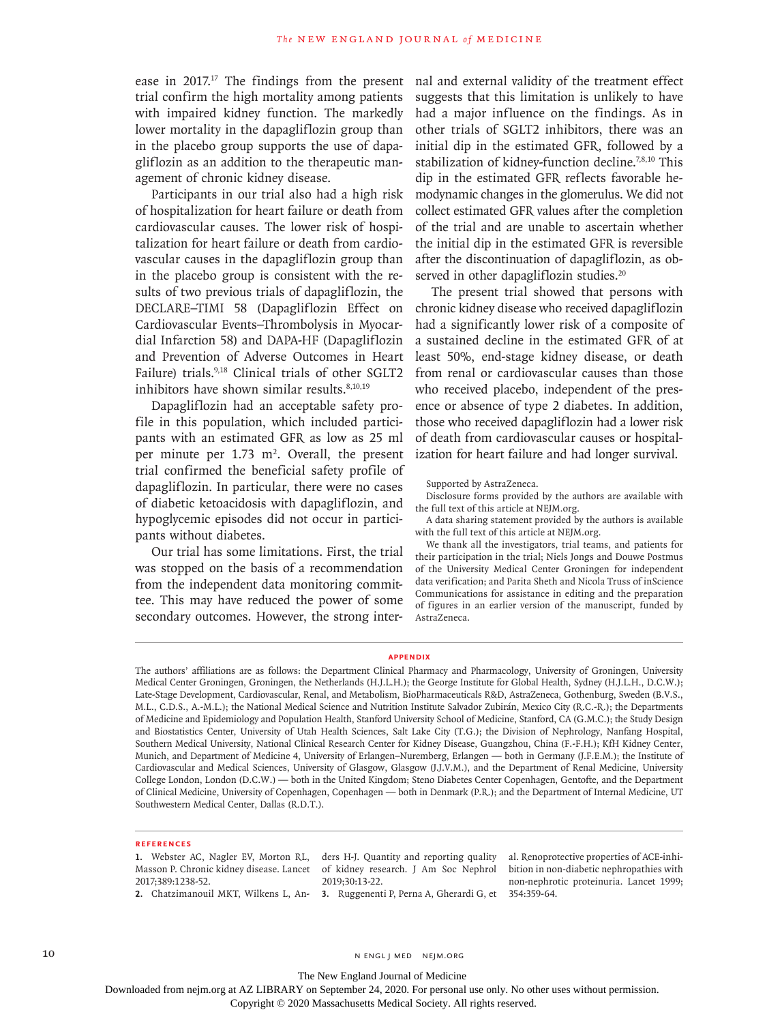ease in 2017.17 The findings from the present trial confirm the high mortality among patients with impaired kidney function. The markedly lower mortality in the dapagliflozin group than in the placebo group supports the use of dapagliflozin as an addition to the therapeutic management of chronic kidney disease.

Participants in our trial also had a high risk of hospitalization for heart failure or death from cardiovascular causes. The lower risk of hospitalization for heart failure or death from cardiovascular causes in the dapagliflozin group than in the placebo group is consistent with the results of two previous trials of dapagliflozin, the DECLARE–TIMI 58 (Dapagliflozin Effect on Cardiovascular Events–Thrombolysis in Myocardial Infarction 58) and DAPA-HF (Dapagliflozin and Prevention of Adverse Outcomes in Heart Failure) trials.9,18 Clinical trials of other SGLT2 inhibitors have shown similar results. $8,10,19$ 

Dapagliflozin had an acceptable safety profile in this population, which included participants with an estimated GFR as low as 25 ml per minute per  $1.73 \text{ m}^2$ . Overall, the present trial confirmed the beneficial safety profile of dapagliflozin. In particular, there were no cases of diabetic ketoacidosis with dapagliflozin, and hypoglycemic episodes did not occur in participants without diabetes.

Our trial has some limitations. First, the trial was stopped on the basis of a recommendation from the independent data monitoring committee. This may have reduced the power of some secondary outcomes. However, the strong internal and external validity of the treatment effect suggests that this limitation is unlikely to have had a major influence on the findings. As in other trials of SGLT2 inhibitors, there was an initial dip in the estimated GFR, followed by a stabilization of kidney-function decline.<sup>7,8,10</sup> This dip in the estimated GFR reflects favorable hemodynamic changes in the glomerulus. We did not collect estimated GFR values after the completion of the trial and are unable to ascertain whether the initial dip in the estimated GFR is reversible after the discontinuation of dapagliflozin, as observed in other dapagliflozin studies.<sup>20</sup>

The present trial showed that persons with chronic kidney disease who received dapagliflozin had a significantly lower risk of a composite of a sustained decline in the estimated GFR of at least 50%, end-stage kidney disease, or death from renal or cardiovascular causes than those who received placebo, independent of the presence or absence of type 2 diabetes. In addition, those who received dapagliflozin had a lower risk of death from cardiovascular causes or hospitalization for heart failure and had longer survival.

#### Supported by AstraZeneca.

Disclosure forms provided by the authors are available with the full text of this article at NEJM.org.

A data sharing statement provided by the authors is available with the full text of this article at NEJM.org.

We thank all the investigators, trial teams, and patients for their participation in the trial; Niels Jongs and Douwe Postmus of the University Medical Center Groningen for independent data verification; and Parita Sheth and Nicola Truss of inScience Communications for assistance in editing and the preparation of figures in an earlier version of the manuscript, funded by AstraZeneca.

#### **Appendix**

The authors' affiliations are as follows: the Department Clinical Pharmacy and Pharmacology, University of Groningen, University Medical Center Groningen, Groningen, the Netherlands (H.J.L.H.); the George Institute for Global Health, Sydney (H.J.L.H., D.C.W.); Late-Stage Development, Cardiovascular, Renal, and Metabolism, BioPharmaceuticals R&D, AstraZeneca, Gothenburg, Sweden (B.V.S., M.L., C.D.S., A.-M.L.); the National Medical Science and Nutrition Institute Salvador Zubirán, Mexico City (R.C.-R.); the Departments of Medicine and Epidemiology and Population Health, Stanford University School of Medicine, Stanford, CA (G.M.C.); the Study Design and Biostatistics Center, University of Utah Health Sciences, Salt Lake City (T.G.); the Division of Nephrology, Nanfang Hospital, Southern Medical University, National Clinical Research Center for Kidney Disease, Guangzhou, China (F.-F.H.); KfH Kidney Center, Munich, and Department of Medicine 4, University of Erlangen–Nuremberg, Erlangen — both in Germany (J.F.E.M.); the Institute of Cardiovascular and Medical Sciences, University of Glasgow, Glasgow (J.J.V.M.), and the Department of Renal Medicine, University College London, London (D.C.W.) — both in the United Kingdom; Steno Diabetes Center Copenhagen, Gentofte, and the Department of Clinical Medicine, University of Copenhagen, Copenhagen — both in Denmark (P.R.); and the Department of Internal Medicine, UT Southwestern Medical Center, Dallas (R.D.T.).

**1.** Webster AC, Nagler EV, Morton RL, Masson P. Chronic kidney disease. Lancet 2017;389:1238-52.

ders H-J. Quantity and reporting quality of kidney research. J Am Soc Nephrol 2019;30:13-22.

**2.** Chatzimanouil MKT, Wilkens L, An-**3.** Ruggenenti P, Perna A, Gherardi G, et

al. Renoprotective properties of ACE-inhibition in non-diabetic nephropathies with non-nephrotic proteinuria. Lancet 1999; 354:359-64.

10 N ENGL J MED NEJM.ORG

The New England Journal of Medicine

Downloaded from nejm.org at AZ LIBRARY on September 24, 2020. For personal use only. No other uses without permission.

**References**